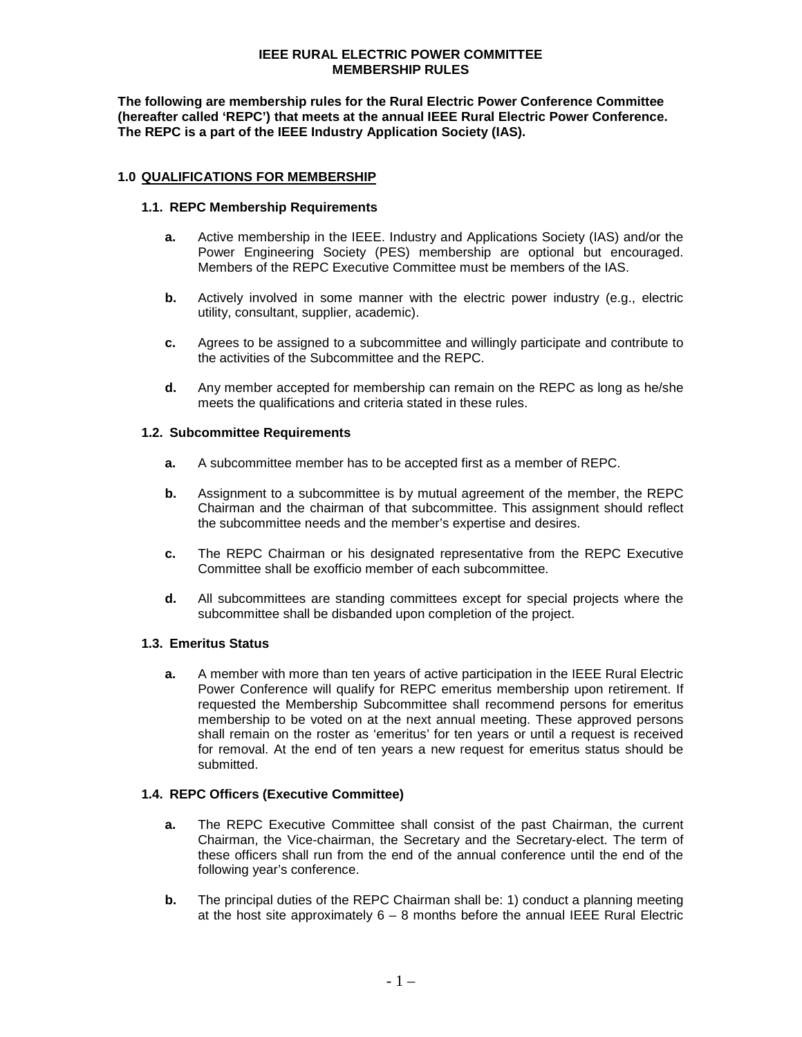### **IEEE RURAL ELECTRIC POWER COMMITTEE MEMBERSHIP RULES**

**The following are membership rules for the Rural Electric Power Conference Committee (hereafter called 'REPC') that meets at the annual IEEE Rural Electric Power Conference. The REPC is a part of the IEEE Industry Application Society (IAS).**

### **1.0 QUALIFICATIONS FOR MEMBERSHIP**

### **1.1. REPC Membership Requirements**

- **a.** Active membership in the IEEE. Industry and Applications Society (IAS) and/or the Power Engineering Society (PES) membership are optional but encouraged. Members of the REPC Executive Committee must be members of the IAS.
- **b.** Actively involved in some manner with the electric power industry (e.g., electric utility, consultant, supplier, academic).
- **c.** Agrees to be assigned to a subcommittee and willingly participate and contribute to the activities of the Subcommittee and the REPC.
- **d.** Any member accepted for membership can remain on the REPC as long as he/she meets the qualifications and criteria stated in these rules.

### **1.2. Subcommittee Requirements**

- **a.** A subcommittee member has to be accepted first as a member of REPC.
- **b.** Assignment to a subcommittee is by mutual agreement of the member, the REPC Chairman and the chairman of that subcommittee. This assignment should reflect the subcommittee needs and the member's expertise and desires.
- **c.** The REPC Chairman or his designated representative from the REPC Executive Committee shall be exofficio member of each subcommittee.
- **d.** All subcommittees are standing committees except for special projects where the subcommittee shall be disbanded upon completion of the project.

### **1.3. Emeritus Status**

**a.** A member with more than ten years of active participation in the IEEE Rural Electric Power Conference will qualify for REPC emeritus membership upon retirement. If requested the Membership Subcommittee shall recommend persons for emeritus membership to be voted on at the next annual meeting. These approved persons shall remain on the roster as 'emeritus' for ten years or until a request is received for removal. At the end of ten years a new request for emeritus status should be submitted.

### **1.4. REPC Officers (Executive Committee)**

- **a.** The REPC Executive Committee shall consist of the past Chairman, the current Chairman, the Vice-chairman, the Secretary and the Secretary-elect. The term of these officers shall run from the end of the annual conference until the end of the following year's conference.
- **b.** The principal duties of the REPC Chairman shall be: 1) conduct a planning meeting at the host site approximately  $6 - 8$  months before the annual IEEE Rural Electric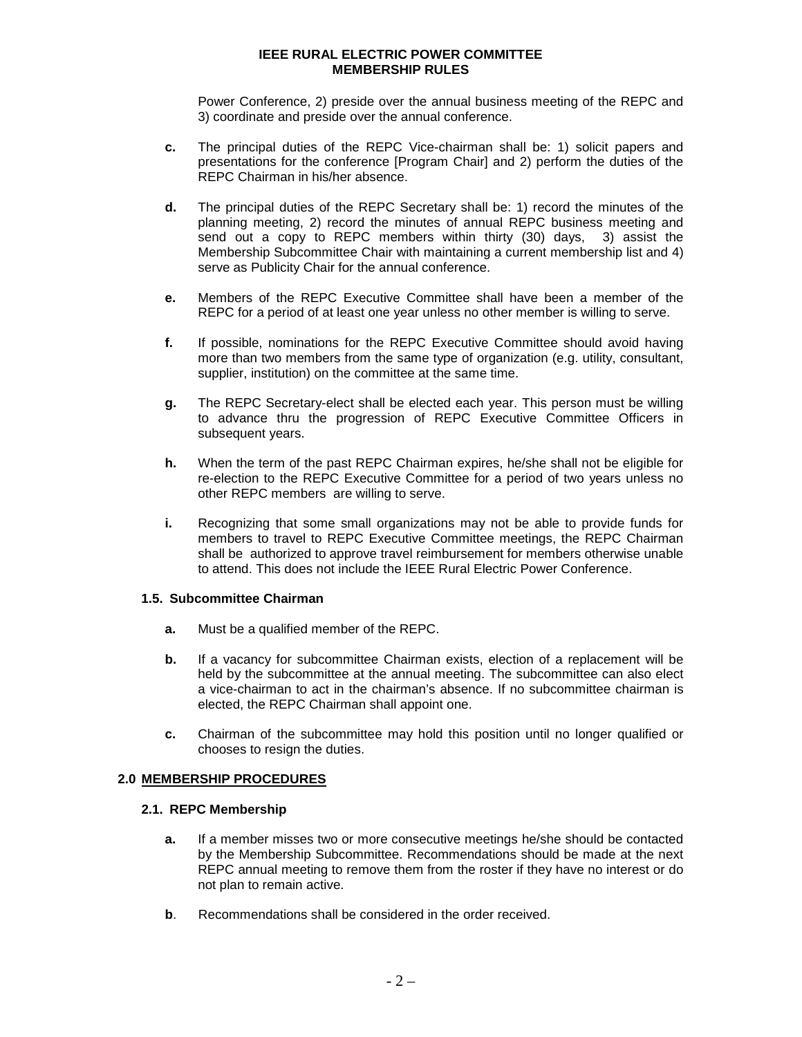### **IEEE RURAL ELECTRIC POWER COMMITTEE MEMBERSHIP RULES**

Power Conference, 2) preside over the annual business meeting of the REPC and 3) coordinate and preside over the annual conference.

- **c.** The principal duties of the REPC Vice-chairman shall be: 1) solicit papers and presentations for the conference [Program Chair] and 2) perform the duties of the REPC Chairman in his/her absence.
- **d.** The principal duties of the REPC Secretary shall be: 1) record the minutes of the planning meeting, 2) record the minutes of annual REPC business meeting and send out a copy to REPC members within thirty (30) days, 3) assist the Membership Subcommittee Chair with maintaining a current membership list and 4) serve as Publicity Chair for the annual conference.
- **e.** Members of the REPC Executive Committee shall have been a member of the REPC for a period of at least one year unless no other member is willing to serve.
- **f.** If possible, nominations for the REPC Executive Committee should avoid having more than two members from the same type of organization (e.g. utility, consultant, supplier, institution) on the committee at the same time.
- **g.** The REPC Secretary-elect shall be elected each year. This person must be willing to advance thru the progression of REPC Executive Committee Officers in subsequent years.
- **h.** When the term of the past REPC Chairman expires, he/she shall not be eligible for re-election to the REPC Executive Committee for a period of two years unless no other REPC members are willing to serve.
- **i.** Recognizing that some small organizations may not be able to provide funds for members to travel to REPC Executive Committee meetings, the REPC Chairman shall be authorized to approve travel reimbursement for members otherwise unable to attend. This does not include the IEEE Rural Electric Power Conference.

# **1.5. Subcommittee Chairman**

- **a.** Must be a qualified member of the REPC.
- **b.** If a vacancy for subcommittee Chairman exists, election of a replacement will be held by the subcommittee at the annual meeting. The subcommittee can also elect a vice-chairman to act in the chairman's absence. If no subcommittee chairman is elected, the REPC Chairman shall appoint one.
- **c.** Chairman of the subcommittee may hold this position until no longer qualified or chooses to resign the duties.

# **2.0 MEMBERSHIP PROCEDURES**

# **2.1. REPC Membership**

- **a.** If a member misses two or more consecutive meetings he/she should be contacted by the Membership Subcommittee. Recommendations should be made at the next REPC annual meeting to remove them from the roster if they have no interest or do not plan to remain active.
- **b**. Recommendations shall be considered in the order received.